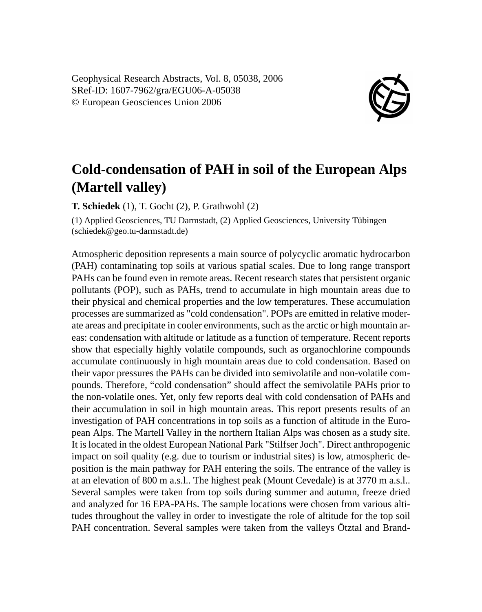Geophysical Research Abstracts, Vol. 8, 05038, 2006 SRef-ID: 1607-7962/gra/EGU06-A-05038 © European Geosciences Union 2006



## **Cold-condensation of PAH in soil of the European Alps (Martell valley)**

**T. Schiedek** (1), T. Gocht (2), P. Grathwohl (2)

(1) Applied Geosciences, TU Darmstadt, (2) Applied Geosciences, University Tübingen (schiedek@geo.tu-darmstadt.de)

Atmospheric deposition represents a main source of polycyclic aromatic hydrocarbon (PAH) contaminating top soils at various spatial scales. Due to long range transport PAHs can be found even in remote areas. Recent research states that persistent organic pollutants (POP), such as PAHs, trend to accumulate in high mountain areas due to their physical and chemical properties and the low temperatures. These accumulation processes are summarized as "cold condensation". POPs are emitted in relative moderate areas and precipitate in cooler environments, such as the arctic or high mountain areas: condensation with altitude or latitude as a function of temperature. Recent reports show that especially highly volatile compounds, such as organochlorine compounds accumulate continuously in high mountain areas due to cold condensation. Based on their vapor pressures the PAHs can be divided into semivolatile and non-volatile compounds. Therefore, "cold condensation" should affect the semivolatile PAHs prior to the non-volatile ones. Yet, only few reports deal with cold condensation of PAHs and their accumulation in soil in high mountain areas. This report presents results of an investigation of PAH concentrations in top soils as a function of altitude in the European Alps. The Martell Valley in the northern Italian Alps was chosen as a study site. It is located in the oldest European National Park "Stilfser Joch". Direct anthropogenic impact on soil quality (e.g. due to tourism or industrial sites) is low, atmospheric deposition is the main pathway for PAH entering the soils. The entrance of the valley is at an elevation of 800 m a.s.l.. The highest peak (Mount Cevedale) is at 3770 m a.s.l.. Several samples were taken from top soils during summer and autumn, freeze dried and analyzed for 16 EPA-PAHs. The sample locations were chosen from various altitudes throughout the valley in order to investigate the role of altitude for the top soil PAH concentration. Several samples were taken from the valleys Ötztal and Brand-